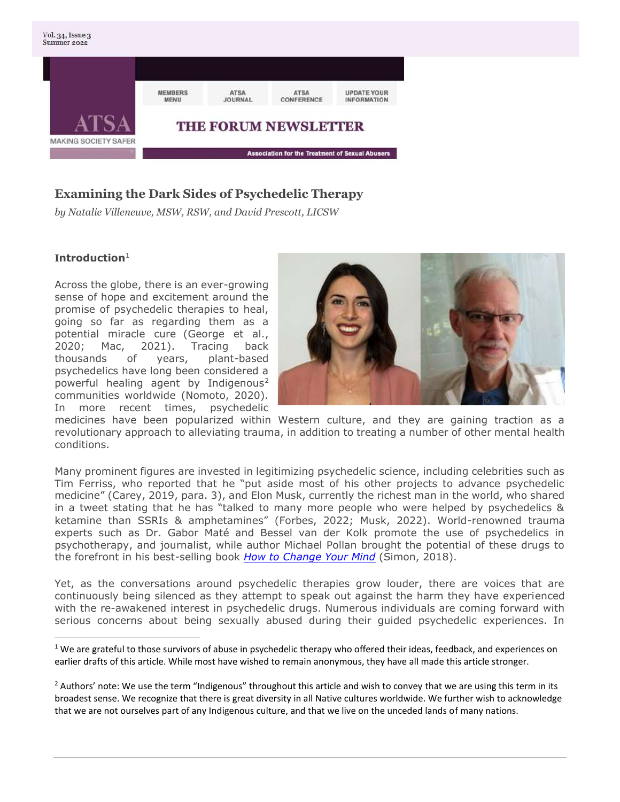

# **Examining the Dark Sides of Psychedelic Therapy**

*by Natalie Villeneuve, MSW, RSW, and David Prescott, LICSW*

#### **Introduction**<sup>1</sup>

Across the globe, there is an ever-growing sense of hope and excitement around the promise of psychedelic therapies to heal, going so far as regarding them as a potential miracle cure (George et al., 2020; Mac, 2021). Tracing back thousands of years, plant-based psychedelics have long been considered a powerful healing agent by Indigenous<sup>2</sup> communities worldwide (Nomoto, 2020). In more recent times, psychedelic



medicines have been popularized within Western culture, and they are gaining traction as a revolutionary approach to alleviating trauma, in addition to treating a number of other mental health conditions.

Many prominent figures are invested in legitimizing psychedelic science, including celebrities such as Tim Ferriss, who reported that he "put aside most of his other projects to advance psychedelic medicine" (Carey, 2019, para. 3), and Elon Musk, currently the richest man in the world, who shared in a tweet stating that he has "talked to many more people who were helped by psychedelics & ketamine than SSRIs & amphetamines" (Forbes, 2022; Musk, 2022). World-renowned trauma experts such as Dr. Gabor Maté and Bessel van der Kolk promote the use of psychedelics in psychotherapy, and journalist, while author Michael Pollan brought the potential of these drugs to the forefront in his best-selling book *[How to Change Your Mind](https://michaelpollan.com/books/how-to-change-your-mind/)* (Simon, 2018).

Yet, as the conversations around psychedelic therapies grow louder, there are voices that are continuously being silenced as they attempt to speak out against the harm they have experienced with the re-awakened interest in psychedelic drugs. Numerous individuals are coming forward with serious concerns about being sexually abused during their guided psychedelic experiences. In

 $1$  We are grateful to those survivors of abuse in psychedelic therapy who offered their ideas, feedback, and experiences on earlier drafts of this article. While most have wished to remain anonymous, they have all made this article stronger.

 $<sup>2</sup>$  Authors' note: We use the term "Indigenous" throughout this article and wish to convey that we are using this term in its</sup> broadest sense. We recognize that there is great diversity in all Native cultures worldwide. We further wish to acknowledge that we are not ourselves part of any Indigenous culture, and that we live on the unceded lands of many nations.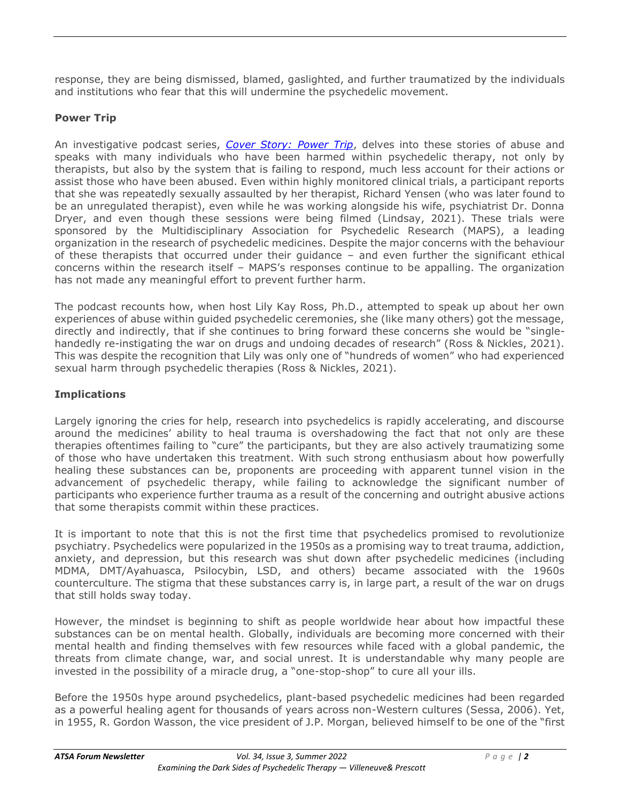response, they are being dismissed, blamed, gaslighted, and further traumatized by the individuals and institutions who fear that this will undermine the psychedelic movement.

### **Power Trip**

An investigative podcast series, *[Cover Story: Power Trip](https://podcasts.voxmedia.com/show/cover-story-power-trip)*, delves into these stories of abuse and speaks with many individuals who have been harmed within psychedelic therapy, not only by therapists, but also by the system that is failing to respond, much less account for their actions or assist those who have been abused. Even within highly monitored clinical trials, a participant reports that she was repeatedly sexually assaulted by her therapist, Richard Yensen (who was later found to be an unregulated therapist), even while he was working alongside his wife, psychiatrist Dr. Donna Dryer, and even though these sessions were being filmed (Lindsay, 2021). These trials were sponsored by the Multidisciplinary Association for Psychedelic Research (MAPS), a leading organization in the research of psychedelic medicines. Despite the major concerns with the behaviour of these therapists that occurred under their guidance – and even further the significant ethical concerns within the research itself – MAPS's responses continue to be appalling. The organization has not made any meaningful effort to prevent further harm.

The podcast recounts how, when host Lily Kay Ross, Ph.D., attempted to speak up about her own experiences of abuse within guided psychedelic ceremonies, she (like many others) got the message, directly and indirectly, that if she continues to bring forward these concerns she would be "singlehandedly re-instigating the war on drugs and undoing decades of research" (Ross & Nickles, 2021). This was despite the recognition that Lily was only one of "hundreds of women" who had experienced sexual harm through psychedelic therapies (Ross & Nickles, 2021).

### **Implications**

Largely ignoring the cries for help, research into psychedelics is rapidly accelerating, and discourse around the medicines' ability to heal trauma is overshadowing the fact that not only are these therapies oftentimes failing to "cure" the participants, but they are also actively traumatizing some of those who have undertaken this treatment. With such strong enthusiasm about how powerfully healing these substances can be, proponents are proceeding with apparent tunnel vision in the advancement of psychedelic therapy, while failing to acknowledge the significant number of participants who experience further trauma as a result of the concerning and outright abusive actions that some therapists commit within these practices.

It is important to note that this is not the first time that psychedelics promised to revolutionize psychiatry. Psychedelics were popularized in the 1950s as a promising way to treat trauma, addiction, anxiety, and depression, but this research was shut down after psychedelic medicines (including MDMA, DMT/Ayahuasca, Psilocybin, LSD, and others) became associated with the 1960s counterculture. The stigma that these substances carry is, in large part, a result of the war on drugs that still holds sway today.

However, the mindset is beginning to shift as people worldwide hear about how impactful these substances can be on mental health. Globally, individuals are becoming more concerned with their mental health and finding themselves with few resources while faced with a global pandemic, the threats from climate change, war, and social unrest. It is understandable why many people are invested in the possibility of a miracle drug, a "one-stop-shop" to cure all your ills.

Before the 1950s hype around psychedelics, plant-based psychedelic medicines had been regarded as a powerful healing agent for thousands of years across non-Western cultures (Sessa, 2006). Yet, in 1955, R. Gordon Wasson, the vice president of J.P. Morgan, believed himself to be one of the "first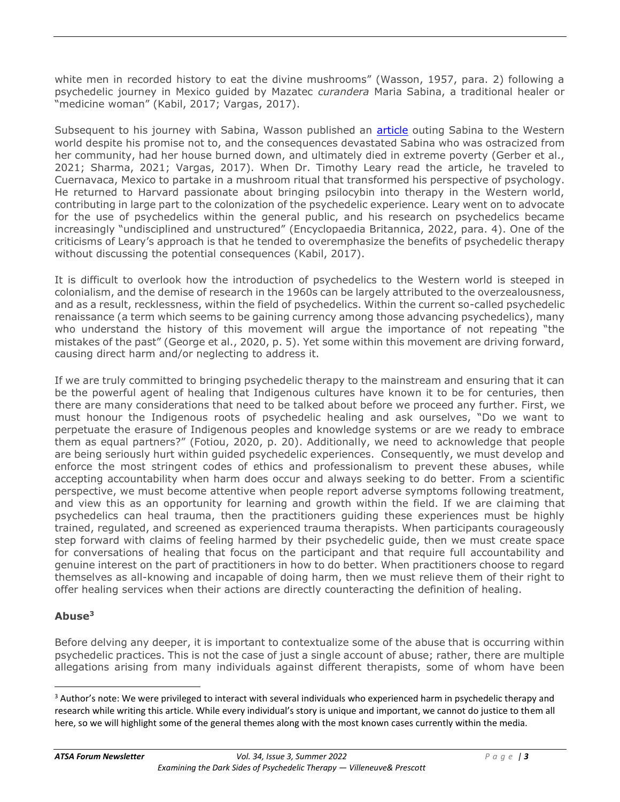white men in recorded history to eat the divine mushrooms" (Wasson, 1957, para. 2) following a psychedelic journey in Mexico guided by Mazatec *curandera* Maria Sabina, a traditional healer or "medicine woman" (Kabil, 2017; Vargas, 2017).

Subsequent to his journey with Sabina, Wasson published an [article](https://www.psychedelic-library.org/lifep2.htm) outing Sabina to the Western world despite his promise not to, and the consequences devastated Sabina who was ostracized from her community, had her house burned down, and ultimately died in extreme poverty (Gerber et al., 2021; Sharma, 2021; Vargas, 2017). When Dr. Timothy Leary read the article, he traveled to Cuernavaca, Mexico to partake in a mushroom ritual that transformed his perspective of psychology. He returned to Harvard passionate about bringing psilocybin into therapy in the Western world, contributing in large part to the colonization of the psychedelic experience. Leary went on to advocate for the use of psychedelics within the general public, and his research on psychedelics became increasingly "undisciplined and unstructured" (Encyclopaedia Britannica, 2022, para. 4). One of the criticisms of Leary's approach is that he tended to overemphasize the benefits of psychedelic therapy without discussing the potential consequences (Kabil, 2017).

It is difficult to overlook how the introduction of psychedelics to the Western world is steeped in colonialism, and the demise of research in the 1960s can be largely attributed to the overzealousness, and as a result, recklessness, within the field of psychedelics. Within the current so-called psychedelic renaissance (a term which seems to be gaining currency among those advancing psychedelics), many who understand the history of this movement will argue the importance of not repeating "the mistakes of the past" (George et al., 2020, p. 5). Yet some within this movement are driving forward, causing direct harm and/or neglecting to address it.

If we are truly committed to bringing psychedelic therapy to the mainstream and ensuring that it can be the powerful agent of healing that Indigenous cultures have known it to be for centuries, then there are many considerations that need to be talked about before we proceed any further. First, we must honour the Indigenous roots of psychedelic healing and ask ourselves, "Do we want to perpetuate the erasure of Indigenous peoples and knowledge systems or are we ready to embrace them as equal partners?" (Fotiou, 2020, p. 20). Additionally, we need to acknowledge that people are being seriously hurt within guided psychedelic experiences. Consequently, we must develop and enforce the most stringent codes of ethics and professionalism to prevent these abuses, while accepting accountability when harm does occur and always seeking to do better. From a scientific perspective, we must become attentive when people report adverse symptoms following treatment, and view this as an opportunity for learning and growth within the field. If we are claiming that psychedelics can heal trauma, then the practitioners guiding these experiences must be highly trained, regulated, and screened as experienced trauma therapists. When participants courageously step forward with claims of feeling harmed by their psychedelic guide, then we must create space for conversations of healing that focus on the participant and that require full accountability and genuine interest on the part of practitioners in how to do better. When practitioners choose to regard themselves as all-knowing and incapable of doing harm, then we must relieve them of their right to offer healing services when their actions are directly counteracting the definition of healing.

### **Abuse<sup>3</sup>**

Before delving any deeper, it is important to contextualize some of the abuse that is occurring within psychedelic practices. This is not the case of just a single account of abuse; rather, there are multiple allegations arising from many individuals against different therapists, some of whom have been

<sup>&</sup>lt;sup>3</sup> Author's note: We were privileged to interact with several individuals who experienced harm in psychedelic therapy and research while writing this article. While every individual's story is unique and important, we cannot do justice to them all here, so we will highlight some of the general themes along with the most known cases currently within the media.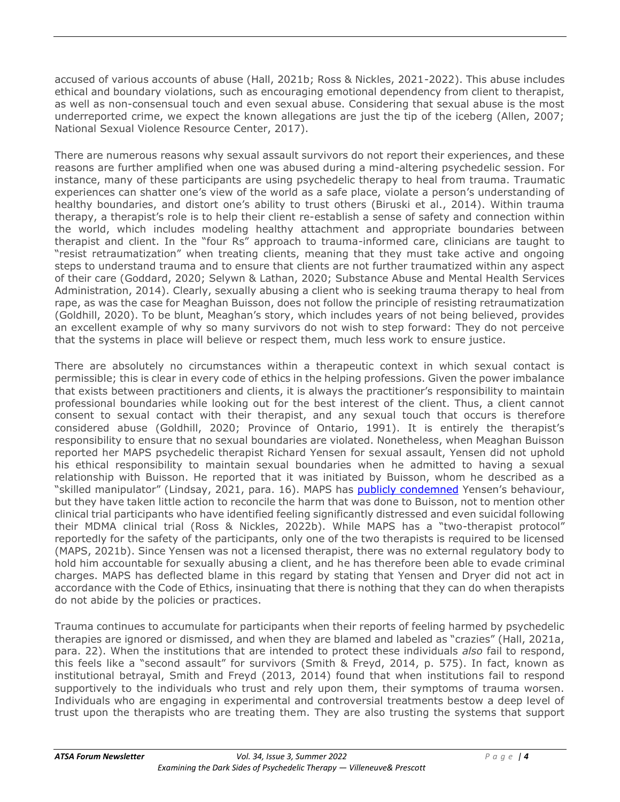accused of various accounts of abuse (Hall, 2021b; Ross & Nickles, 2021-2022). This abuse includes ethical and boundary violations, such as encouraging emotional dependency from client to therapist, as well as non-consensual touch and even sexual abuse. Considering that sexual abuse is the most underreported crime, we expect the known allegations are just the tip of the iceberg (Allen, 2007; National Sexual Violence Resource Center, 2017).

There are numerous reasons why sexual assault survivors do not report their experiences, and these reasons are further amplified when one was abused during a mind-altering psychedelic session. For instance, many of these participants are using psychedelic therapy to heal from trauma. Traumatic experiences can shatter one's view of the world as a safe place, violate a person's understanding of healthy boundaries, and distort one's ability to trust others (Biruski et al., 2014). Within trauma therapy, a therapist's role is to help their client re-establish a sense of safety and connection within the world, which includes modeling healthy attachment and appropriate boundaries between therapist and client. In the "four Rs" approach to trauma-informed care, clinicians are taught to "resist retraumatization" when treating clients, meaning that they must take active and ongoing steps to understand trauma and to ensure that clients are not further traumatized within any aspect of their care (Goddard, 2020; Selywn & Lathan, 2020; Substance Abuse and Mental Health Services Administration, 2014). Clearly, sexually abusing a client who is seeking trauma therapy to heal from rape, as was the case for Meaghan Buisson, does not follow the principle of resisting retraumatization (Goldhill, 2020). To be blunt, Meaghan's story, which includes years of not being believed, provides an excellent example of why so many survivors do not wish to step forward: They do not perceive that the systems in place will believe or respect them, much less work to ensure justice.

There are absolutely no circumstances within a therapeutic context in which sexual contact is permissible; this is clear in every code of ethics in the helping professions. Given the power imbalance that exists between practitioners and clients, it is always the practitioner's responsibility to maintain professional boundaries while looking out for the best interest of the client. Thus, a client cannot consent to sexual contact with their therapist, and any sexual touch that occurs is therefore considered abuse (Goldhill, 2020; Province of Ontario, 1991). It is entirely the therapist's responsibility to ensure that no sexual boundaries are violated. Nonetheless, when Meaghan Buisson reported her MAPS psychedelic therapist Richard Yensen for sexual assault, Yensen did not uphold his ethical responsibility to maintain sexual boundaries when he admitted to having a sexual relationship with Buisson. He reported that it was initiated by Buisson, whom he described as a "skilled manipulator" (Lindsay, 2021, para. 16). MAPS has **publicly condemned** Yensen's behaviour, but they have taken little action to reconcile the harm that was done to Buisson, not to mention other clinical trial participants who have identified feeling significantly distressed and even suicidal following their MDMA clinical trial (Ross & Nickles, 2022b). While MAPS has a "two-therapist protocol" reportedly for the safety of the participants, only one of the two therapists is required to be licensed (MAPS, 2021b). Since Yensen was not a licensed therapist, there was no external regulatory body to hold him accountable for sexually abusing a client, and he has therefore been able to evade criminal charges. MAPS has deflected blame in this regard by stating that Yensen and Dryer did not act in accordance with the Code of Ethics, insinuating that there is nothing that they can do when therapists do not abide by the policies or practices.

Trauma continues to accumulate for participants when their reports of feeling harmed by psychedelic therapies are ignored or dismissed, and when they are blamed and labeled as "crazies" (Hall, 2021a, para. 22). When the institutions that are intended to protect these individuals *also* fail to respond, this feels like a "second assault" for survivors (Smith & Freyd, 2014, p. 575). In fact, known as institutional betrayal, Smith and Freyd (2013, 2014) found that when institutions fail to respond supportively to the individuals who trust and rely upon them, their symptoms of trauma worsen. Individuals who are engaging in experimental and controversial treatments bestow a deep level of trust upon the therapists who are treating them. They are also trusting the systems that support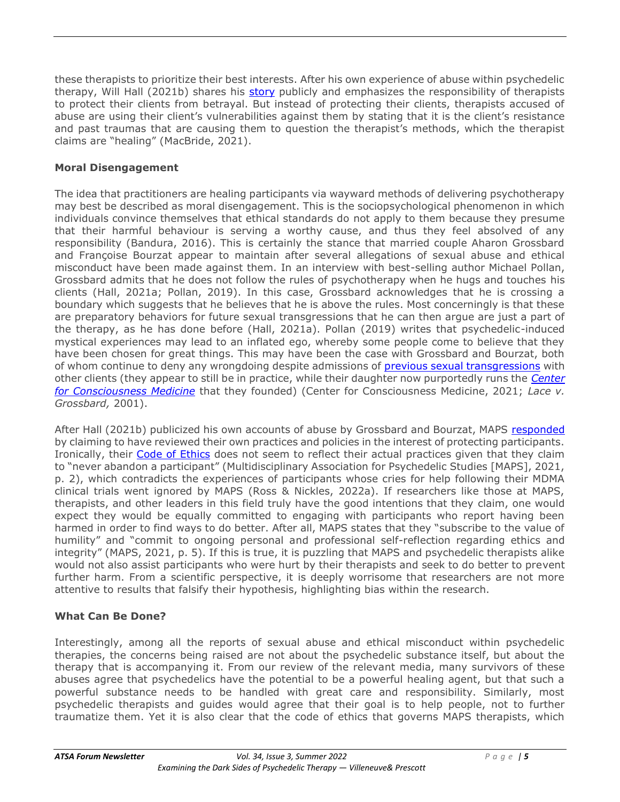these therapists to prioritize their best interests. After his own experience of abuse within psychedelic therapy, Will Hall (2021b) shares his [story](https://www.inverse.com/mind-body/grossbard-bourzat-psychedelic-assisted-therapy-abuse) publicly and emphasizes the responsibility of therapists to protect their clients from betrayal. But instead of protecting their clients, therapists accused of abuse are using their client's vulnerabilities against them by stating that it is the client's resistance and past traumas that are causing them to question the therapist's methods, which the therapist claims are "healing" (MacBride, 2021).

### **Moral Disengagement**

The idea that practitioners are healing participants via wayward methods of delivering psychotherapy may best be described as moral disengagement. This is the sociopsychological phenomenon in which individuals convince themselves that ethical standards do not apply to them because they presume that their harmful behaviour is serving a worthy cause, and thus they feel absolved of any responsibility (Bandura, 2016). This is certainly the stance that married couple Aharon Grossbard and Françoise Bourzat appear to maintain after several allegations of sexual abuse and ethical misconduct have been made against them. In an interview with best-selling author Michael Pollan, Grossbard admits that he does not follow the rules of psychotherapy when he hugs and touches his clients (Hall, 2021a; Pollan, 2019). In this case, Grossbard acknowledges that he is crossing a boundary which suggests that he believes that he is above the rules. Most concerningly is that these are preparatory behaviors for future sexual transgressions that he can then argue are just a part of the therapy, as he has done before (Hall, 2021a). Pollan (2019) writes that psychedelic-induced mystical experiences may lead to an inflated ego, whereby some people come to believe that they have been chosen for great things. This may have been the case with Grossbard and Bourzat, both of whom continue to deny any wrongdoing despite admissions of [previous sexual transgressions](https://drive.google.com/file/d/1vE-MbxbPxjmJqAcBHaJc2EnZD_9CaA0K/view) with other clients (they appear to still be in practice, while their daughter now purportedly runs the *[Center](https://centerforcm.com/journal/the-facts-about-the-center-for-consciousness-medicine/)  [for Consciousness Medicine](https://centerforcm.com/journal/the-facts-about-the-center-for-consciousness-medicine/)* that they founded) (Center for Consciousness Medicine, 2021; *Lace v. Grossbard,* 2001).

After Hall (2021b) publicized his own accounts of abuse by Grossbard and Bourzat, MAPS [responded](https://maps.org/2021/10/20/regarding-recent-allegations-of-sexual-harm-in-the-psychedelic-community/) by claiming to have reviewed their own practices and policies in the interest of protecting participants. Ironically, their [Code of Ethics](https://maps.org/wp-content/uploads/2021/10/MAPS_Psychedelic_Assisted_Psychotherapy_Code_of_Ethics_V4_7_January_2021_Final.pdf) does not seem to reflect their actual practices given that they claim to "never abandon a participant" (Multidisciplinary Association for Psychedelic Studies [MAPS], 2021, p. 2), which contradicts the experiences of participants whose cries for help following their MDMA clinical trials went ignored by MAPS (Ross & Nickles, 2022a). If researchers like those at MAPS, therapists, and other leaders in this field truly have the good intentions that they claim, one would expect they would be equally committed to engaging with participants who report having been harmed in order to find ways to do better. After all, MAPS states that they "subscribe to the value of humility" and "commit to ongoing personal and professional self-reflection regarding ethics and integrity" (MAPS, 2021, p. 5). If this is true, it is puzzling that MAPS and psychedelic therapists alike would not also assist participants who were hurt by their therapists and seek to do better to prevent further harm. From a scientific perspective, it is deeply worrisome that researchers are not more attentive to results that falsify their hypothesis, highlighting bias within the research.

#### **What Can Be Done?**

Interestingly, among all the reports of sexual abuse and ethical misconduct within psychedelic therapies, the concerns being raised are not about the psychedelic substance itself, but about the therapy that is accompanying it. From our review of the relevant media, many survivors of these abuses agree that psychedelics have the potential to be a powerful healing agent, but that such a powerful substance needs to be handled with great care and responsibility. Similarly, most psychedelic therapists and guides would agree that their goal is to help people, not to further traumatize them. Yet it is also clear that the code of ethics that governs MAPS therapists, which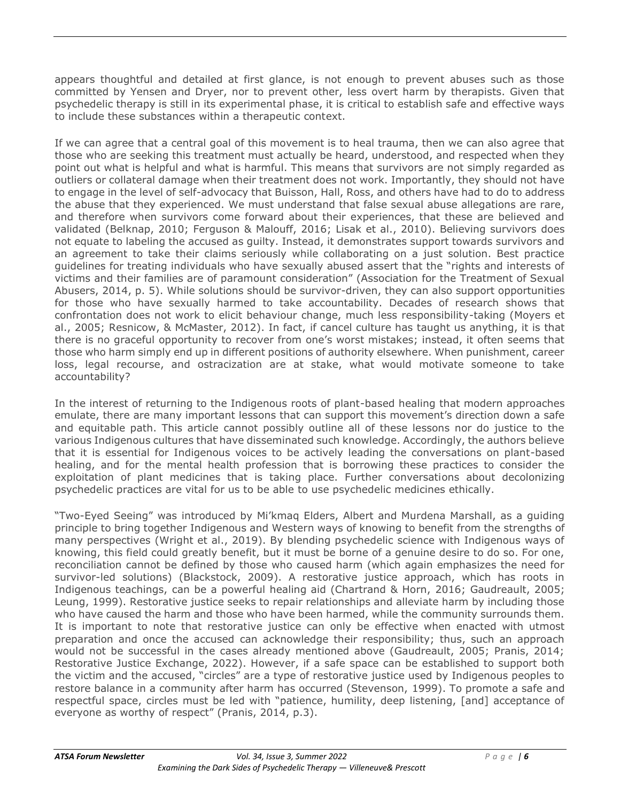appears thoughtful and detailed at first glance, is not enough to prevent abuses such as those committed by Yensen and Dryer, nor to prevent other, less overt harm by therapists. Given that psychedelic therapy is still in its experimental phase, it is critical to establish safe and effective ways to include these substances within a therapeutic context.

If we can agree that a central goal of this movement is to heal trauma, then we can also agree that those who are seeking this treatment must actually be heard, understood, and respected when they point out what is helpful and what is harmful. This means that survivors are not simply regarded as outliers or collateral damage when their treatment does not work. Importantly, they should not have to engage in the level of self-advocacy that Buisson, Hall, Ross, and others have had to do to address the abuse that they experienced. We must understand that false sexual abuse allegations are rare, and therefore when survivors come forward about their experiences, that these are believed and validated (Belknap, 2010; Ferguson & Malouff, 2016; Lisak et al., 2010). Believing survivors does not equate to labeling the accused as guilty. Instead, it demonstrates support towards survivors and an agreement to take their claims seriously while collaborating on a just solution. Best practice guidelines for treating individuals who have sexually abused assert that the "rights and interests of victims and their families are of paramount consideration" (Association for the Treatment of Sexual Abusers, 2014, p. 5). While solutions should be survivor-driven, they can also support opportunities for those who have sexually harmed to take accountability. Decades of research shows that confrontation does not work to elicit behaviour change, much less responsibility-taking (Moyers et al., 2005; Resnicow, & McMaster, 2012). In fact, if cancel culture has taught us anything, it is that there is no graceful opportunity to recover from one's worst mistakes; instead, it often seems that those who harm simply end up in different positions of authority elsewhere. When punishment, career loss, legal recourse, and ostracization are at stake, what would motivate someone to take accountability?

In the interest of returning to the Indigenous roots of plant-based healing that modern approaches emulate, there are many important lessons that can support this movement's direction down a safe and equitable path. This article cannot possibly outline all of these lessons nor do justice to the various Indigenous cultures that have disseminated such knowledge. Accordingly, the authors believe that it is essential for Indigenous voices to be actively leading the conversations on plant-based healing, and for the mental health profession that is borrowing these practices to consider the exploitation of plant medicines that is taking place. Further conversations about decolonizing psychedelic practices are vital for us to be able to use psychedelic medicines ethically.

"Two-Eyed Seeing" was introduced by Mi'kmaq Elders, Albert and Murdena Marshall, as a guiding principle to bring together Indigenous and Western ways of knowing to benefit from the strengths of many perspectives (Wright et al., 2019). By blending psychedelic science with Indigenous ways of knowing, this field could greatly benefit, but it must be borne of a genuine desire to do so. For one, reconciliation cannot be defined by those who caused harm (which again emphasizes the need for survivor-led solutions) (Blackstock, 2009). A restorative justice approach, which has roots in Indigenous teachings, can be a powerful healing aid (Chartrand & Horn, 2016; Gaudreault, 2005; Leung, 1999). Restorative justice seeks to repair relationships and alleviate harm by including those who have caused the harm and those who have been harmed, while the community surrounds them. It is important to note that restorative justice can only be effective when enacted with utmost preparation and once the accused can acknowledge their responsibility; thus, such an approach would not be successful in the cases already mentioned above (Gaudreault, 2005; Pranis, 2014; Restorative Justice Exchange, 2022). However, if a safe space can be established to support both the victim and the accused, "circles" are a type of restorative justice used by Indigenous peoples to restore balance in a community after harm has occurred (Stevenson, 1999). To promote a safe and respectful space, circles must be led with "patience, humility, deep listening, [and] acceptance of everyone as worthy of respect" (Pranis, 2014, p.3).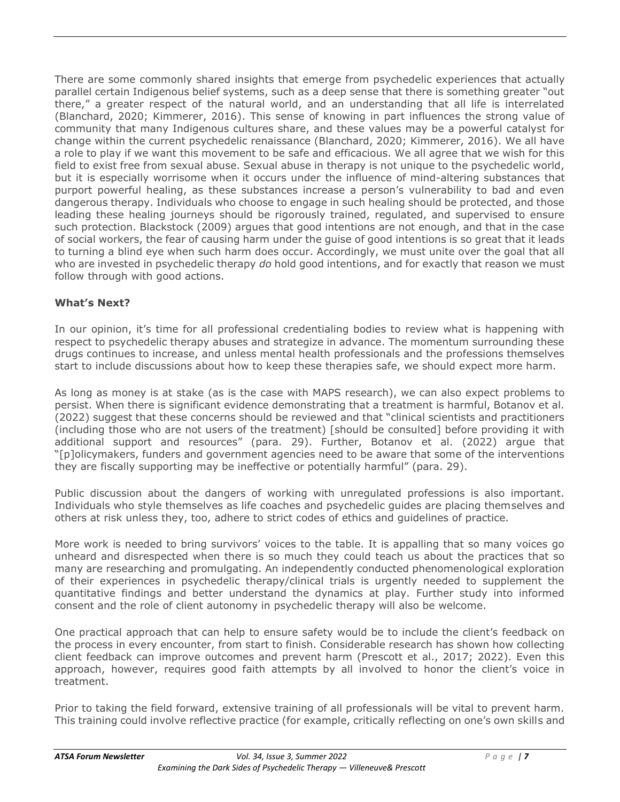There are some commonly shared insights that emerge from psychedelic experiences that actually parallel certain Indigenous belief systems, such as a deep sense that there is something greater "out there," a greater respect of the natural world, and an understanding that all life is interrelated (Blanchard, 2020; Kimmerer, 2016). This sense of knowing in part influences the strong value of community that many Indigenous cultures share, and these values may be a powerful catalyst for change within the current psychedelic renaissance (Blanchard, 2020; Kimmerer, 2016). We all have a role to play if we want this movement to be safe and efficacious. We all agree that we wish for this field to exist free from sexual abuse. Sexual abuse in therapy is not unique to the psychedelic world, but it is especially worrisome when it occurs under the influence of mind-altering substances that purport powerful healing, as these substances increase a person's vulnerability to bad and even dangerous therapy. Individuals who choose to engage in such healing should be protected, and those leading these healing journeys should be rigorously trained, regulated, and supervised to ensure such protection. Blackstock (2009) argues that good intentions are not enough, and that in the case of social workers, the fear of causing harm under the guise of good intentions is so great that it leads to turning a blind eye when such harm does occur. Accordingly, we must unite over the goal that all who are invested in psychedelic therapy *do* hold good intentions, and for exactly that reason we must follow through with good actions.

## **What's Next?**

In our opinion, it's time for all professional credentialing bodies to review what is happening with respect to psychedelic therapy abuses and strategize in advance. The momentum surrounding these drugs continues to increase, and unless mental health professionals and the professions themselves start to include discussions about how to keep these therapies safe, we should expect more harm.

As long as money is at stake (as is the case with MAPS research), we can also expect problems to persist. When there is significant evidence demonstrating that a treatment is harmful, Botanov et al. (2022) suggest that these concerns should be reviewed and that "clinical scientists and practitioners (including those who are not users of the treatment) [should be consulted] before providing it with additional support and resources" (para. 29). Further, Botanov et al. (2022) argue that "[p]olicymakers, funders and government agencies need to be aware that some of the interventions they are fiscally supporting may be ineffective or potentially harmful" (para. 29).

Public discussion about the dangers of working with unregulated professions is also important. Individuals who style themselves as life coaches and psychedelic guides are placing themselves and others at risk unless they, too, adhere to strict codes of ethics and guidelines of practice.

More work is needed to bring survivors' voices to the table. It is appalling that so many voices go unheard and disrespected when there is so much they could teach us about the practices that so many are researching and promulgating. An independently conducted phenomenological exploration of their experiences in psychedelic therapy/clinical trials is urgently needed to supplement the quantitative findings and better understand the dynamics at play. Further study into informed consent and the role of client autonomy in psychedelic therapy will also be welcome.

One practical approach that can help to ensure safety would be to include the client's feedback on the process in every encounter, from start to finish. Considerable research has shown how collecting client feedback can improve outcomes and prevent harm (Prescott et al., 2017; 2022). Even this approach, however, requires good faith attempts by all involved to honor the client's voice in treatment.

Prior to taking the field forward, extensive training of all professionals will be vital to prevent harm. This training could involve reflective practice (for example, critically reflecting on one's own skills and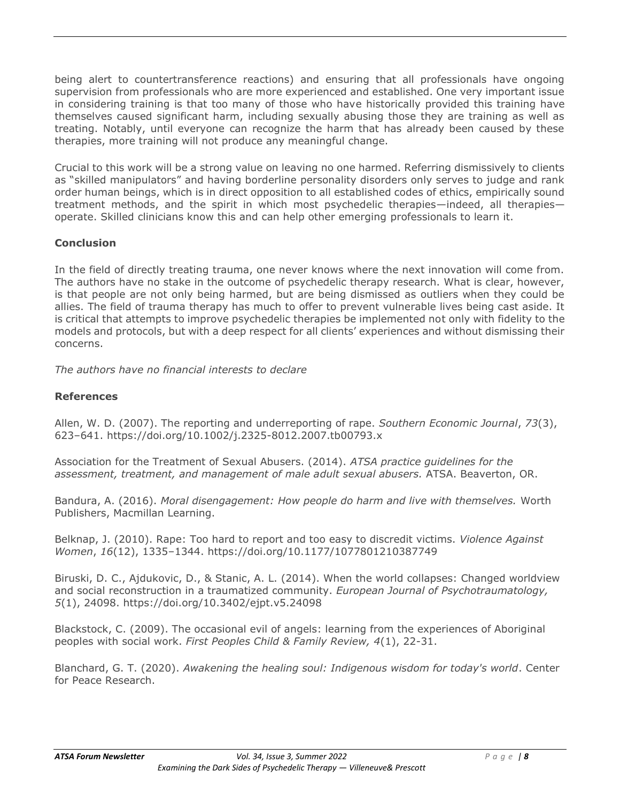being alert to countertransference reactions) and ensuring that all professionals have ongoing supervision from professionals who are more experienced and established. One very important issue in considering training is that too many of those who have historically provided this training have themselves caused significant harm, including sexually abusing those they are training as well as treating. Notably, until everyone can recognize the harm that has already been caused by these therapies, more training will not produce any meaningful change.

Crucial to this work will be a strong value on leaving no one harmed. Referring dismissively to clients as "skilled manipulators" and having borderline personality disorders only serves to judge and rank order human beings, which is in direct opposition to all established codes of ethics, empirically sound treatment methods, and the spirit in which most psychedelic therapies—indeed, all therapies operate. Skilled clinicians know this and can help other emerging professionals to learn it.

#### **Conclusion**

In the field of directly treating trauma, one never knows where the next innovation will come from. The authors have no stake in the outcome of psychedelic therapy research. What is clear, however, is that people are not only being harmed, but are being dismissed as outliers when they could be allies. The field of trauma therapy has much to offer to prevent vulnerable lives being cast aside. It is critical that attempts to improve psychedelic therapies be implemented not only with fidelity to the models and protocols, but with a deep respect for all clients' experiences and without dismissing their concerns.

*The authors have no financial interests to declare*

#### **References**

Allen, W. D. (2007). The reporting and underreporting of rape. *Southern Economic Journal*, *73*(3), 623–641. https://doi.org/10.1002/j.2325-8012.2007.tb00793.x

Association for the Treatment of Sexual Abusers. (2014). *ATSA practice guidelines for the assessment, treatment, and management of male adult sexual abusers.* ATSA. Beaverton, OR.

Bandura, A. (2016). *Moral disengagement: How people do harm and live with themselves.* Worth Publishers, Macmillan Learning.

Belknap, J. (2010). Rape: Too hard to report and too easy to discredit victims. *Violence Against Women*, *16*(12), 1335–1344. https://doi.org/10.1177/1077801210387749

Biruski, D. C., Ajdukovic, D., & Stanic, A. L. (2014). When the world collapses: Changed worldview and social reconstruction in a traumatized community. *European Journal of Psychotraumatology, 5*(1), 24098. https://doi.org/10.3402/ejpt.v5.24098

Blackstock, C. (2009). The occasional evil of angels: learning from the experiences of Aboriginal peoples with social work. *First Peoples Child & Family Review, 4*(1), 22-31.

Blanchard, G. T. (2020). *Awakening the healing soul: Indigenous wisdom for today's world*. Center for Peace Research.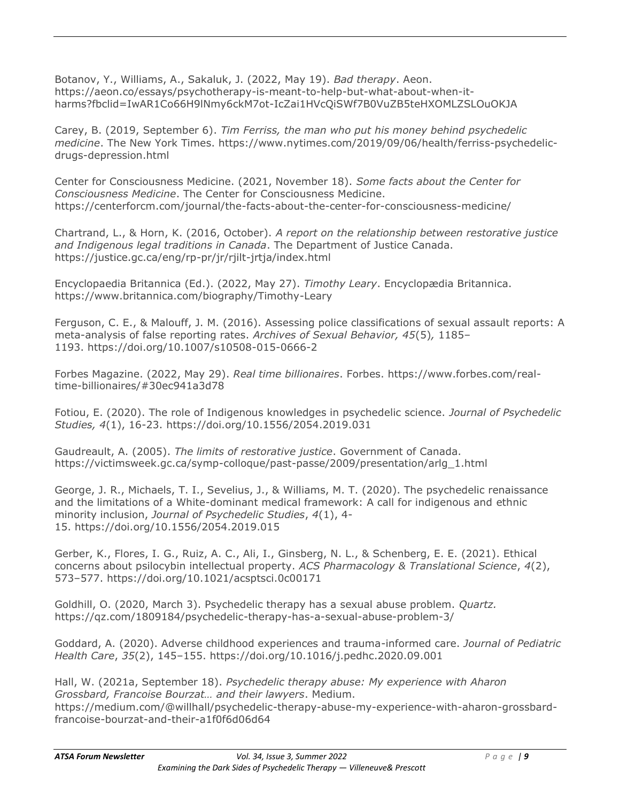Botanov, Y., Williams, A., Sakaluk, J. (2022, May 19). *Bad therapy*. Aeon. https://aeon.co/essays/psychotherapy-is-meant-to-help-but-what-about-when-itharms?fbclid=IwAR1Co66H9lNmy6ckM7ot-IcZai1HVcQiSWf7B0VuZB5teHXOMLZSLOuOKJA

Carey, B. (2019, September 6). *Tim Ferriss, the man who put his money behind psychedelic medicine*. The New York Times. https://www.nytimes.com/2019/09/06/health/ferriss-psychedelicdrugs-depression.html

Center for Consciousness Medicine. (2021, November 18). *Some facts about the Center for Consciousness Medicine*. The Center for Consciousness Medicine. https://centerforcm.com/journal/the-facts-about-the-center-for-consciousness-medicine/

Chartrand, L., & Horn, K. (2016, October). *A report on the relationship between restorative justice and Indigenous legal traditions in Canada*. The Department of Justice Canada. https://justice.gc.ca/eng/rp-pr/jr/rjilt-jrtja/index.html

Encyclopaedia Britannica (Ed.). (2022, May 27). *Timothy Leary*. Encyclopædia Britannica. https://www.britannica.com/biography/Timothy-Leary

Ferguson, C. E., & Malouff, J. M. (2016). Assessing police classifications of sexual assault reports: A meta-analysis of false reporting rates. *Archives of Sexual Behavior, 45*(5)*,* 1185– 1193. https://doi.org/10.1007/s10508-015-0666-2

Forbes Magazine. (2022, May 29). *Real time billionaires*. Forbes. https://www.forbes.com/realtime-billionaires/#30ec941a3d78

Fotiou, E. (2020). The role of Indigenous knowledges in psychedelic science. *Journal of Psychedelic Studies, 4*(1), 16-23. https://doi.org/10.1556/2054.2019.031

Gaudreault, A. (2005). *The limits of restorative justice*. Government of Canada. https://victimsweek.gc.ca/symp-colloque/past-passe/2009/presentation/arlg\_1.html

George, J. R., Michaels, T. I., Sevelius, J., & Williams, M. T. (2020). The psychedelic renaissance and the limitations of a White-dominant medical framework: A call for indigenous and ethnic minority inclusion, *Journal of Psychedelic Studies*, *4*(1), 4- 15. https://doi.org/10.1556/2054.2019.015

Gerber, K., Flores, I. G., Ruiz, A. C., Ali, I., Ginsberg, N. L., & Schenberg, E. E. (2021). Ethical concerns about psilocybin intellectual property. *ACS Pharmacology & Translational Science*, *4*(2), 573–577. https://doi.org/10.1021/acsptsci.0c00171

Goldhill, O. (2020, March 3). Psychedelic therapy has a sexual abuse problem. *Quartz.* https://qz.com/1809184/psychedelic-therapy-has-a-sexual-abuse-problem-3/

Goddard, A. (2020). Adverse childhood experiences and trauma-informed care. *Journal of Pediatric Health Care*, *35*(2), 145–155. https://doi.org/10.1016/j.pedhc.2020.09.001

Hall, W. (2021a, September 18). *Psychedelic therapy abuse: My experience with Aharon Grossbard, Francoise Bourzat… and their lawyers*. Medium. https://medium.com/@willhall/psychedelic-therapy-abuse-my-experience-with-aharon-grossbardfrancoise-bourzat-and-their-a1f0f6d06d64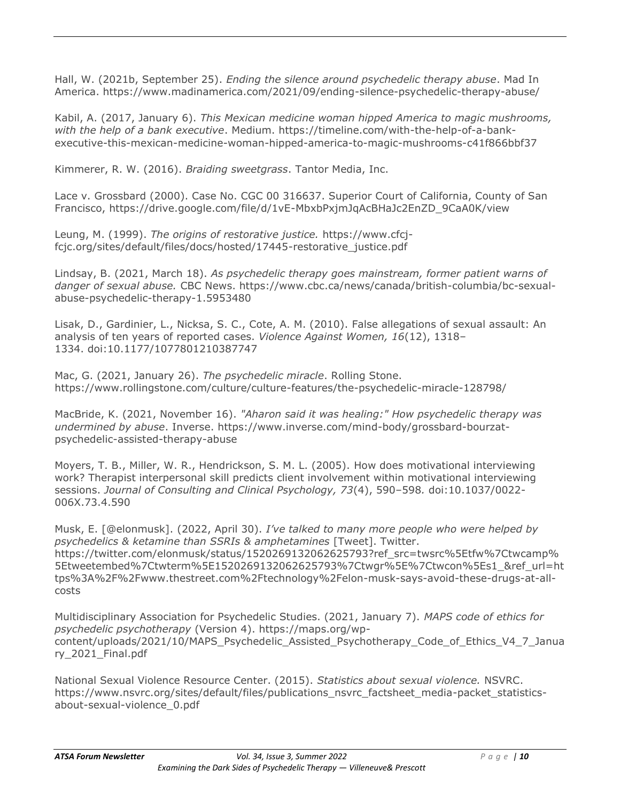Hall, W. (2021b, September 25). *Ending the silence around psychedelic therapy abuse*. Mad In America. https://www.madinamerica.com/2021/09/ending-silence-psychedelic-therapy-abuse/

Kabil, A. (2017, January 6). *This Mexican medicine woman hipped America to magic mushrooms, with the help of a bank executive*. Medium. https://timeline.com/with-the-help-of-a-bankexecutive-this-mexican-medicine-woman-hipped-america-to-magic-mushrooms-c41f866bbf37

Kimmerer, R. W. (2016). *Braiding sweetgrass*. Tantor Media, Inc.

Lace v. Grossbard (2000). Case No. CGC 00 316637. Superior Court of California, County of San Francisco, https://drive.google.com/file/d/1vE-MbxbPxjmJqAcBHaJc2EnZD\_9CaA0K/view

Leung, M. (1999). *The origins of restorative justice.* https://www.cfcjfcjc.org/sites/default/files/docs/hosted/17445-restorative\_justice.pdf

Lindsay, B. (2021, March 18). *As psychedelic therapy goes mainstream, former patient warns of danger of sexual abuse.* CBC News. https://www.cbc.ca/news/canada/british-columbia/bc-sexualabuse-psychedelic-therapy-1.5953480

Lisak, D., Gardinier, L., Nicksa, S. C., Cote, A. M. (2010). False allegations of sexual assault: An analysis of ten years of reported cases. *Violence Against Women, 16*(12), 1318– 1334. doi:10.1177/1077801210387747

Mac, G. (2021, January 26). *The psychedelic miracle*. Rolling Stone. https://www.rollingstone.com/culture/culture-features/the-psychedelic-miracle-128798/

MacBride, K. (2021, November 16). *"Aharon said it was healing:" How psychedelic therapy was undermined by abuse*. Inverse. https://www.inverse.com/mind-body/grossbard-bourzatpsychedelic-assisted-therapy-abuse

Moyers, T. B., Miller, W. R., Hendrickson, S. M. L. (2005). How does motivational interviewing work? Therapist interpersonal skill predicts client involvement within motivational interviewing sessions. *Journal of Consulting and Clinical Psychology, 73*(4), 590–598*.* doi:10.1037/0022- 006X.73.4.590

Musk, E. [@elonmusk]. (2022, April 30). *I've talked to many more people who were helped by psychedelics & ketamine than SSRIs & amphetamines* [Tweet]. Twitter. https://twitter.com/elonmusk/status/1520269132062625793?ref\_src=twsrc%5Etfw%7Ctwcamp% 5Etweetembed%7Ctwterm%5E1520269132062625793%7Ctwgr%5E%7Ctwcon%5Es1\_&ref\_url=ht tps%3A%2F%2Fwww.thestreet.com%2Ftechnology%2Felon-musk-says-avoid-these-drugs-at-allcosts

Multidisciplinary Association for Psychedelic Studies. (2021, January 7). *MAPS code of ethics for psychedelic psychotherapy* (Version 4). https://maps.org/wpcontent/uploads/2021/10/MAPS\_Psychedelic\_Assisted\_Psychotherapy\_Code\_of\_Ethics\_V4\_7\_Janua ry\_2021\_Final.pdf

National Sexual Violence Resource Center. (2015). *Statistics about sexual violence.* NSVRC. https://www.nsvrc.org/sites/default/files/publications\_nsvrc\_factsheet\_media-packet\_statisticsabout-sexual-violence\_0.pdf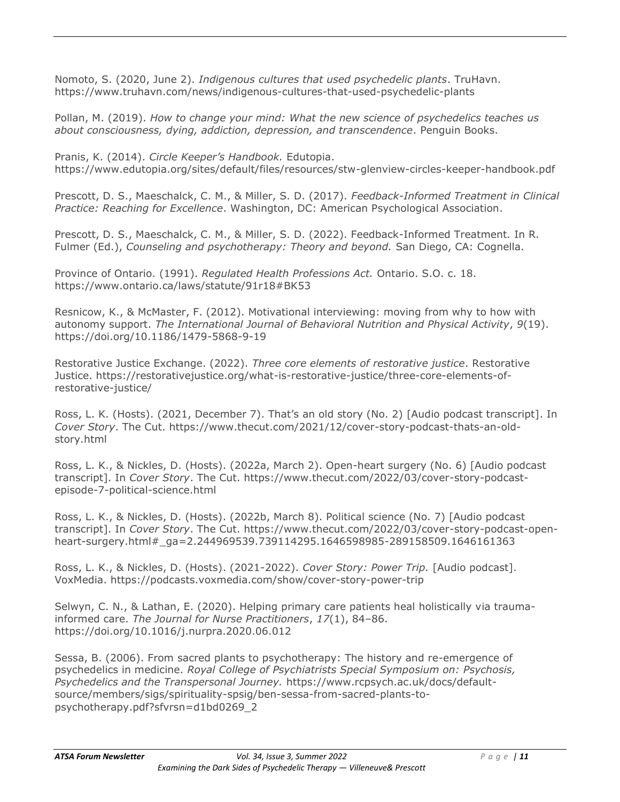Nomoto, S. (2020, June 2). *Indigenous cultures that used psychedelic plants*. TruHavn. https://www.truhavn.com/news/indigenous-cultures-that-used-psychedelic-plants

Pollan, M. (2019). *How to change your mind: What the new science of psychedelics teaches us about consciousness, dying, addiction, depression, and transcendence*. Penguin Books.

Pranis, K. (2014). *Circle Keeper's Handbook.* Edutopia. https://www.edutopia.org/sites/default/files/resources/stw-glenview-circles-keeper-handbook.pdf

Prescott, D. S., Maeschalck, C. M., & Miller, S. D. (2017). *Feedback-Informed Treatment in Clinical Practice: Reaching for Excellence*. Washington, DC: American Psychological Association.

Prescott, D. S., Maeschalck, C. M., & Miller, S. D. (2022). Feedback-Informed Treatment*.* In R. Fulmer (Ed.), *Counseling and psychotherapy: Theory and beyond.* San Diego, CA: Cognella.

Province of Ontario. (1991). *Regulated Health Professions Act.* Ontario. S.O. c. 18. https://www.ontario.ca/laws/statute/91r18#BK53

Resnicow, K., & McMaster, F. (2012). Motivational interviewing: moving from why to how with autonomy support. *The International Journal of Behavioral Nutrition and Physical Activity*, *9*(19). https://doi.org/10.1186/1479-5868-9-19

Restorative Justice Exchange. (2022). *Three core elements of restorative justice*. Restorative Justice. https://restorativejustice.org/what-is-restorative-justice/three-core-elements-ofrestorative-justice/

Ross, L. K. (Hosts). (2021, December 7). That's an old story (No. 2) [Audio podcast transcript]. In *Cover Story*. The Cut. https://www.thecut.com/2021/12/cover-story-podcast-thats-an-oldstory.html

Ross, L. K., & Nickles, D. (Hosts). (2022a, March 2). Open-heart surgery (No. 6) [Audio podcast transcript]. In *Cover Story*. The Cut. https://www.thecut.com/2022/03/cover-story-podcastepisode-7-political-science.html

Ross, L. K., & Nickles, D. (Hosts). (2022b, March 8). Political science (No. 7) [Audio podcast transcript]. In *Cover Story*. The Cut. https://www.thecut.com/2022/03/cover-story-podcast-openheart-surgery.html#\_ga=2.244969539.739114295.1646598985-289158509.1646161363

Ross, L. K., & Nickles, D. (Hosts). (2021-2022). *Cover Story: Power Trip.* [Audio podcast]. VoxMedia. https://podcasts.voxmedia.com/show/cover-story-power-trip

Selwyn, C. N., & Lathan, E. (2020). Helping primary care patients heal holistically via traumainformed care. *The Journal for Nurse Practitioners*, *17*(1), 84–86. https://doi.org/10.1016/j.nurpra.2020.06.012

Sessa, B. (2006). From sacred plants to psychotherapy: The history and re-emergence of psychedelics in medicine. *Royal College of Psychiatrists Special Symposium on: Psychosis, Psychedelics and the Transpersonal Journey.* https://www.rcpsych.ac.uk/docs/defaultsource/members/sigs/spirituality-spsig/ben-sessa-from-sacred-plants-topsychotherapy.pdf?sfvrsn=d1bd0269\_2